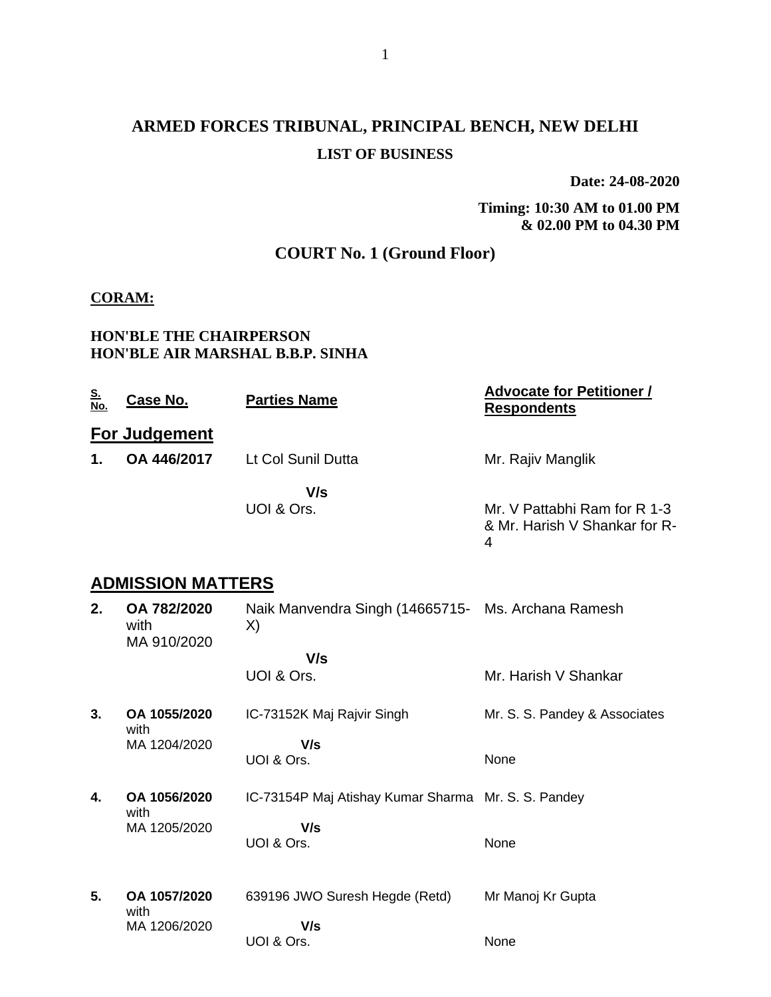# **ARMED FORCES TRIBUNAL, PRINCIPAL BENCH, NEW DELHI LIST OF BUSINESS**

**Date: 24-08-2020**

**Timing: 10:30 AM to 01.00 PM & 02.00 PM to 04.30 PM**

## **COURT No. 1 (Ground Floor)**

#### **CORAM:**

#### **HON'BLE THE CHAIRPERSON HON'BLE AIR MARSHAL B.B.P. SINHA**

| <u>S.</u><br>No. | Case No.      | <b>Parties Name</b> | <b>Advocate for Petitioner /</b><br><b>Respondents</b>             |
|------------------|---------------|---------------------|--------------------------------------------------------------------|
|                  | For Judgement |                     |                                                                    |
| 1.               | OA 446/2017   | Lt Col Sunil Dutta  | Mr. Rajiv Manglik                                                  |
|                  |               | V/s                 |                                                                    |
|                  |               | UOI & Ors.          | Mr. V Pattabhi Ram for R 1-3<br>& Mr. Harish V Shankar for R-<br>4 |
|                  |               |                     |                                                                    |

## **ADMISSION MATTERS**

| 2. | OA 782/2020<br>with<br>MA 910/2020 | Naik Manvendra Singh (14665715- Ms. Archana Ramesh<br>X) |                               |
|----|------------------------------------|----------------------------------------------------------|-------------------------------|
|    |                                    | V/s                                                      |                               |
|    |                                    | UOI & Ors.                                               | Mr. Harish V Shankar          |
| 3. | OA 1055/2020<br>with               | IC-73152K Maj Rajvir Singh                               | Mr. S. S. Pandey & Associates |
|    | MA 1204/2020                       | V/s                                                      |                               |
|    |                                    | UOI & Ors.                                               | None                          |
| 4. | OA 1056/2020                       | IC-73154P Maj Atishay Kumar Sharma Mr. S. S. Pandey      |                               |
|    | with<br>MA 1205/2020               | V/s                                                      |                               |
|    |                                    | UOI & Ors.                                               | None                          |
| 5. | OA 1057/2020<br>with               | 639196 JWO Suresh Hegde (Retd)                           | Mr Manoj Kr Gupta             |
|    | MA 1206/2020                       | V/s                                                      |                               |
|    |                                    | UOI & Ors.                                               | None                          |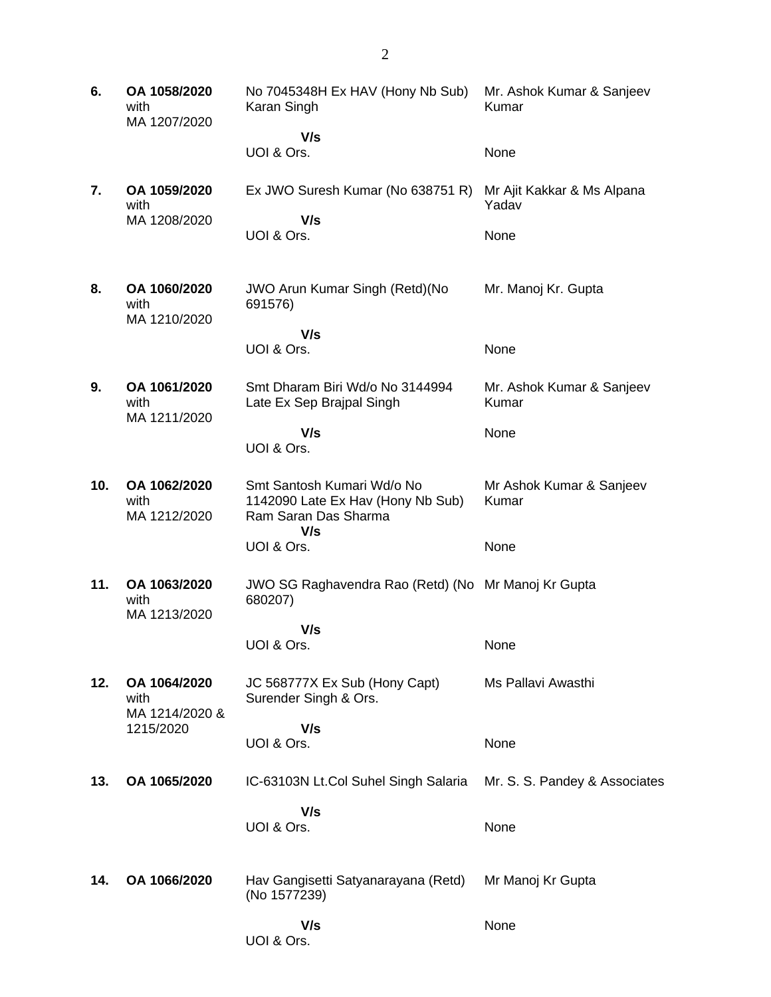**6. OA 1058/2020** with MA 1207/2020 No 7045348H Ex HAV (Hony Nb Sub) Karan Singh  **V/s** UOI & Ors. Mr. Ashok Kumar & Sanjeev Kumar None **7. OA 1059/2020** with MA 1208/2020 Ex JWO Suresh Kumar (No 638751 R)  **V/s** UOI & Ors. Mr Ajit Kakkar & Ms Alpana Yadav None **8. OA 1060/2020** with MA 1210/2020 JWO Arun Kumar Singh (Retd)(No 691576)  **V/s** UOI & Ors. Mr. Manoj Kr. Gupta None **9. OA 1061/2020** with MA 1211/2020 Smt Dharam Biri Wd/o No 3144994 Late Ex Sep Brajpal Singh  **V/s** UOI & Ors. Mr. Ashok Kumar & Sanjeev Kumar **None 10. OA 1062/2020** with MA 1212/2020 Smt Santosh Kumari Wd/o No 1142090 Late Ex Hav (Hony Nb Sub) Ram Saran Das Sharma  **V/s** UOI & Ors. Mr Ashok Kumar & Sanjeev Kumar None **11. OA 1063/2020** with MA 1213/2020 JWO SG Raghavendra Rao (Retd) (No Mr Manoj Kr Gupta 680207)  **V/s** UOI & Ors. None **12. OA 1064/2020** with MA 1214/2020 & 1215/2020 JC 568777X Ex Sub (Hony Capt) Surender Singh & Ors.  **V/s** UOI & Ors. Ms Pallavi Awasthi None **13. OA 1065/2020** IC-63103N Lt.Col Suhel Singh Salaria  **V/s** UOI & Ors. Mr. S. S. Pandey & Associates None **14. OA 1066/2020** Hav Gangisetti Satyanarayana (Retd) (No 1577239)  **V/s** UOI & Ors. Mr Manoj Kr Gupta None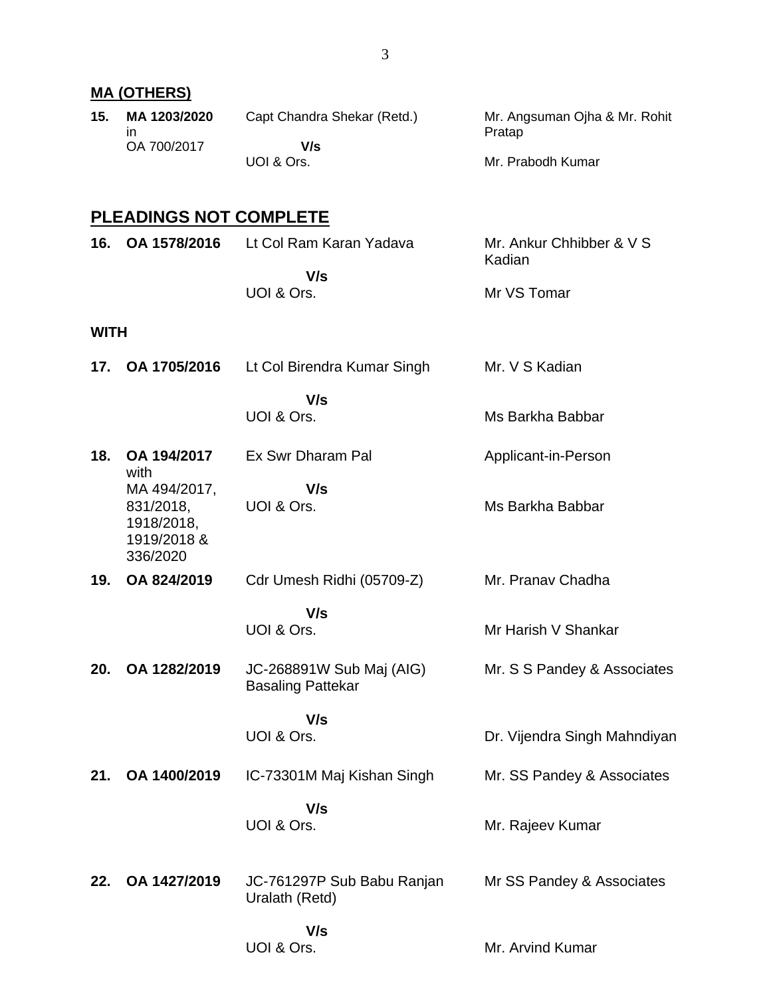|             | <u>MA (OTHERS)</u>                                                 |                                                      |                                         |
|-------------|--------------------------------------------------------------------|------------------------------------------------------|-----------------------------------------|
| 15.         | MA 1203/2020<br>in.                                                | Capt Chandra Shekar (Retd.)                          | Mr. Angsuman Ojha & Mr. Rohit<br>Pratap |
|             | OA 700/2017                                                        | V/s<br>UOI & Ors.                                    | Mr. Prabodh Kumar                       |
|             | <b>PLEADINGS NOT COMPLETE</b>                                      |                                                      |                                         |
| 16.         | OA 1578/2016                                                       | Lt Col Ram Karan Yadava                              | Mr. Ankur Chhibber & V S<br>Kadian      |
|             |                                                                    | V/s<br>UOI & Ors.                                    | Mr VS Tomar                             |
| <b>WITH</b> |                                                                    |                                                      |                                         |
| 17.         | OA 1705/2016                                                       | Lt Col Birendra Kumar Singh                          | Mr. V S Kadian                          |
|             |                                                                    | V/s<br>UOI & Ors.                                    | Ms Barkha Babbar                        |
| 18.         | OA 194/2017<br>with                                                | Ex Swr Dharam Pal                                    | Applicant-in-Person                     |
|             | MA 494/2017,<br>831/2018,<br>1918/2018,<br>1919/2018 &<br>336/2020 | V/s<br>UOI & Ors.                                    | Ms Barkha Babbar                        |
| 19.         | OA 824/2019                                                        | Cdr Umesh Ridhi (05709-Z)                            | Mr. Pranav Chadha                       |
|             |                                                                    | V/s<br>UOI & Ors.                                    | Mr Harish V Shankar                     |
| 20.         | OA 1282/2019                                                       | JC-268891W Sub Maj (AIG)<br><b>Basaling Pattekar</b> | Mr. S S Pandey & Associates             |
|             |                                                                    | V/s<br>UOI & Ors.                                    | Dr. Vijendra Singh Mahndiyan            |
| 21.         | OA 1400/2019                                                       | IC-73301M Maj Kishan Singh                           | Mr. SS Pandey & Associates              |
|             |                                                                    | V/s<br>UOI & Ors.                                    | Mr. Rajeev Kumar                        |
| 22.         | OA 1427/2019                                                       | JC-761297P Sub Babu Ranjan<br>Uralath (Retd)         | Mr SS Pandey & Associates               |
|             |                                                                    | V/s<br>UOI & Ors.                                    | Mr. Arvind Kumar                        |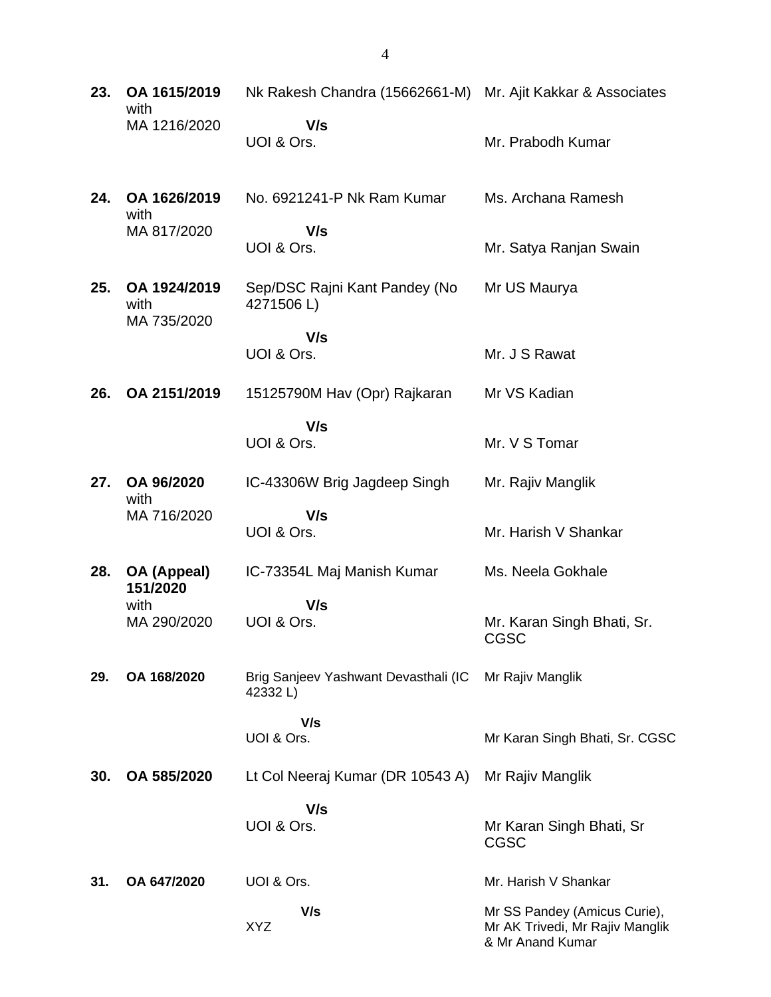| 23. | OA 1615/2019<br>with<br>MA 1216/2020 | Nk Rakesh Chandra (15662661-M) Mr. Ajit Kakkar & Associates |                                                                                     |
|-----|--------------------------------------|-------------------------------------------------------------|-------------------------------------------------------------------------------------|
|     |                                      | V/s<br>UOI & Ors.                                           | Mr. Prabodh Kumar                                                                   |
| 24. | OA 1626/2019<br>with                 | No. 6921241-P Nk Ram Kumar                                  | Ms. Archana Ramesh                                                                  |
|     | MA 817/2020                          | V/s<br>UOI & Ors.                                           | Mr. Satya Ranjan Swain                                                              |
| 25. | OA 1924/2019<br>with<br>MA 735/2020  | Sep/DSC Rajni Kant Pandey (No<br>4271506L)                  | Mr US Maurya                                                                        |
|     |                                      | V/s<br>UOI & Ors.                                           | Mr. J S Rawat                                                                       |
| 26. | OA 2151/2019                         | 15125790M Hav (Opr) Rajkaran                                | Mr VS Kadian                                                                        |
|     |                                      | V/s<br>UOI & Ors.                                           | Mr. V S Tomar                                                                       |
| 27. | OA 96/2020<br>with                   | IC-43306W Brig Jagdeep Singh                                | Mr. Rajiv Manglik                                                                   |
|     | MA 716/2020                          | V/s<br>UOI & Ors.                                           | Mr. Harish V Shankar                                                                |
| 28. | OA (Appeal)<br>151/2020              | IC-73354L Maj Manish Kumar                                  | Ms. Neela Gokhale                                                                   |
|     | with<br>MA 290/2020                  | V/s<br>UOI & Ors.                                           | Mr. Karan Singh Bhati, Sr.<br>CGSC                                                  |
| 29. | OA 168/2020                          | Brig Sanjeev Yashwant Devasthali (IC<br>42332L)             | Mr Rajiv Manglik                                                                    |
|     |                                      | V/s<br>UOI & Ors.                                           | Mr Karan Singh Bhati, Sr. CGSC                                                      |
| 30. | OA 585/2020                          | Lt Col Neeraj Kumar (DR 10543 A)                            | Mr Rajiv Manglik                                                                    |
|     |                                      | V/s<br>UOI & Ors.                                           | Mr Karan Singh Bhati, Sr<br>CGSC                                                    |
| 31. | OA 647/2020                          | UOI & Ors.                                                  | Mr. Harish V Shankar                                                                |
|     |                                      | V/s<br>XYZ                                                  | Mr SS Pandey (Amicus Curie),<br>Mr AK Trivedi, Mr Rajiv Manglik<br>& Mr Anand Kumar |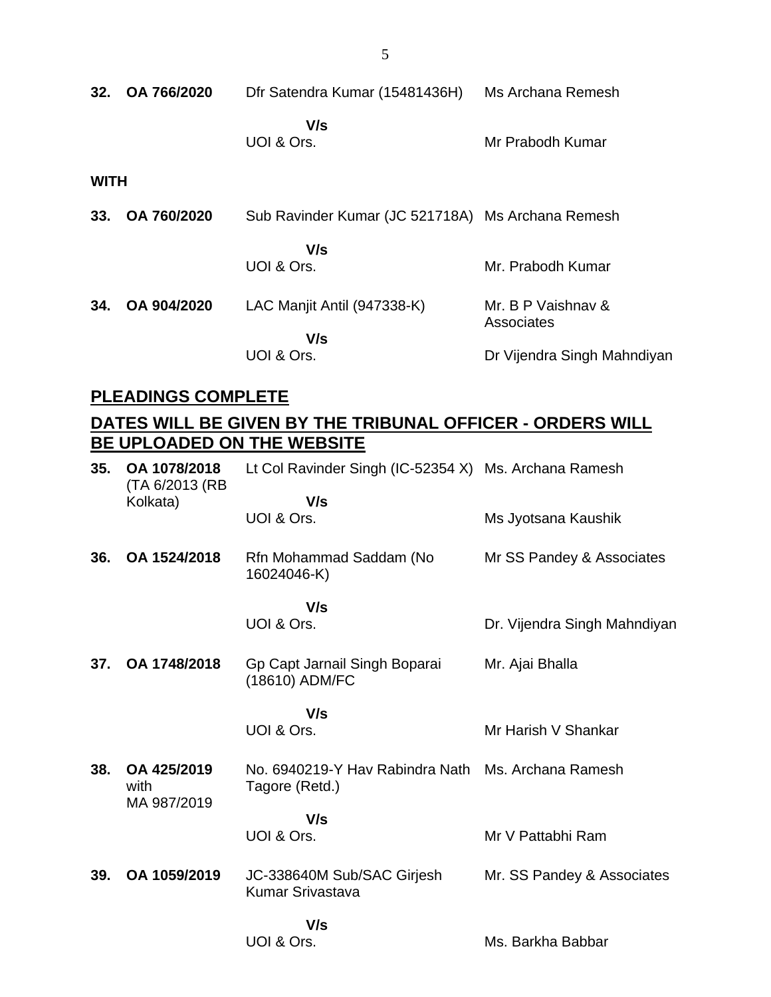| 32.         | OA 766/2020 | Dfr Satendra Kumar (15481436H)                    | Ms Archana Remesh                |
|-------------|-------------|---------------------------------------------------|----------------------------------|
|             |             | V/s<br>UOI & Ors.                                 | Mr Prabodh Kumar                 |
| <b>WITH</b> |             |                                                   |                                  |
| 33.         | OA 760/2020 | Sub Ravinder Kumar (JC 521718A) Ms Archana Remesh |                                  |
|             |             | V/s<br>UOI & Ors.                                 | Mr. Prabodh Kumar                |
| 34.         | OA 904/2020 | LAC Manjit Antil (947338-K)                       | Mr. B P Vaishnav &<br>Associates |
|             |             | V/s                                               |                                  |
|             |             | UOI & Ors.                                        | Dr Vijendra Singh Mahndiyan      |

# **PLEADINGS COMPLETE**

## **DATES WILL BE GIVEN BY THE TRIBUNAL OFFICER - ORDERS WILL BE UPLOADED ON THE WEBSITE**

| 35. | OA 1078/2018<br>(TA 6/2013 (RB) | Lt Col Ravinder Singh (IC-52354 X) Ms. Archana Ramesh |                              |
|-----|---------------------------------|-------------------------------------------------------|------------------------------|
|     | Kolkata)                        | V/s<br>UOI & Ors.                                     | Ms Jyotsana Kaushik          |
| 36. | OA 1524/2018                    | Rfn Mohammad Saddam (No<br>16024046-K)                | Mr SS Pandey & Associates    |
|     |                                 | V/s<br>UOI & Ors.                                     | Dr. Vijendra Singh Mahndiyan |
|     |                                 |                                                       |                              |
| 37. | OA 1748/2018                    | Gp Capt Jarnail Singh Boparai<br>(18610) ADM/FC       | Mr. Ajai Bhalla              |
|     |                                 | V/s                                                   |                              |
|     |                                 | UOI & Ors.                                            | Mr Harish V Shankar          |
| 38. | OA 425/2019<br>with             | No. 6940219-Y Hav Rabindra Nath<br>Tagore (Retd.)     | Ms. Archana Ramesh           |
|     | MA 987/2019                     | V/s                                                   |                              |
|     |                                 | UOI & Ors.                                            | Mr V Pattabhi Ram            |
| 39. | OA 1059/2019                    | JC-338640M Sub/SAC Girjesh<br>Kumar Srivastava        | Mr. SS Pandey & Associates   |
|     |                                 | V/s                                                   |                              |
|     |                                 | UOI & Ors.                                            | Ms. Barkha Babbar            |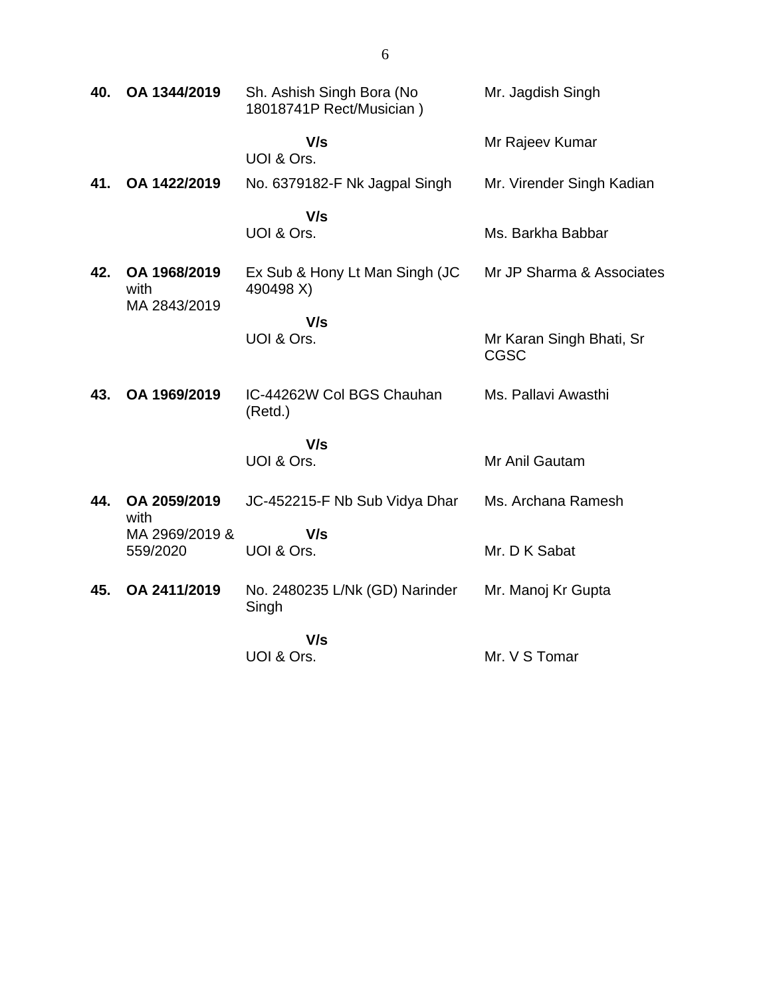| 40. | OA 1344/2019                         | Sh. Ashish Singh Bora (No<br>18018741P Rect/Musician) | Mr. Jagdish Singh                       |
|-----|--------------------------------------|-------------------------------------------------------|-----------------------------------------|
|     |                                      | V/s<br>UOI & Ors.                                     | Mr Rajeev Kumar                         |
| 41. | OA 1422/2019                         | No. 6379182-F Nk Jagpal Singh                         | Mr. Virender Singh Kadian               |
|     |                                      | V/s<br>UOI & Ors.                                     | Ms. Barkha Babbar                       |
| 42. | OA 1968/2019<br>with<br>MA 2843/2019 | Ex Sub & Hony Lt Man Singh (JC<br>490498 X)           | Mr JP Sharma & Associates               |
|     |                                      | V/s<br>UOI & Ors.                                     | Mr Karan Singh Bhati, Sr<br><b>CGSC</b> |
| 43. | OA 1969/2019                         | IC-44262W Col BGS Chauhan<br>(Retd.)                  | Ms. Pallavi Awasthi                     |
|     |                                      | V/s<br>UOI & Ors.                                     | Mr Anil Gautam                          |
| 44. | OA 2059/2019<br>with                 | JC-452215-F Nb Sub Vidya Dhar                         | Ms. Archana Ramesh                      |
|     | MA 2969/2019 &<br>559/2020           | V/s<br>UOI & Ors.                                     | Mr. D K Sabat                           |
| 45. | OA 2411/2019                         | No. 2480235 L/Nk (GD) Narinder<br>Singh               | Mr. Manoj Kr Gupta                      |
|     |                                      | V/s<br>UOI & Ors.                                     | Mr. V S Tomar                           |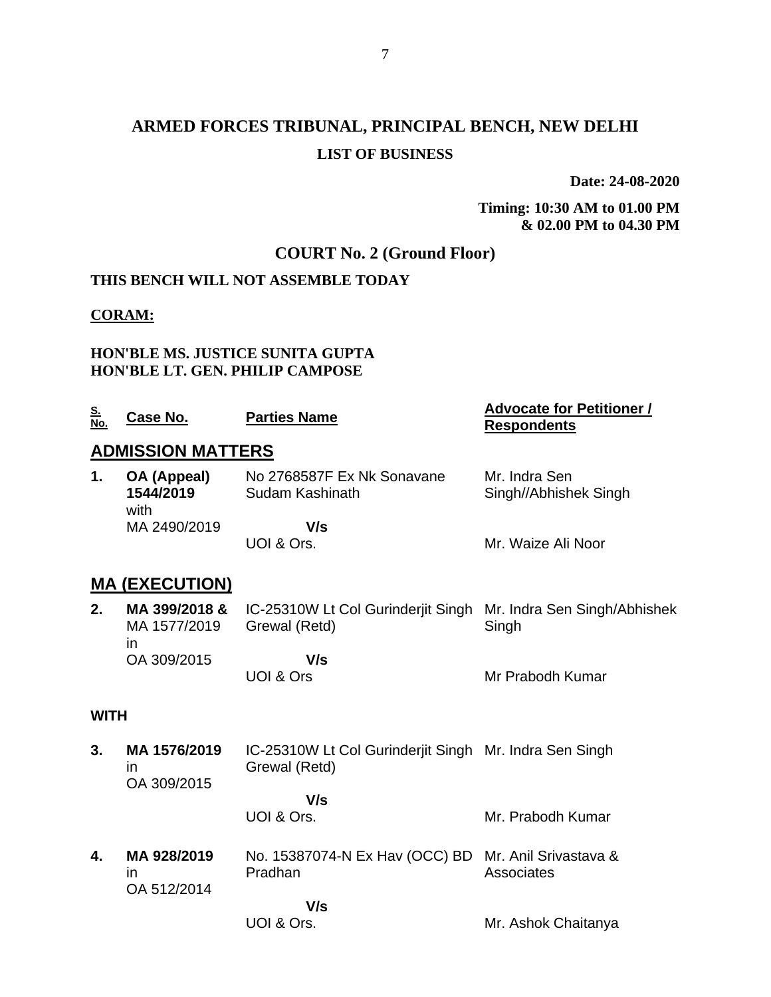# **ARMED FORCES TRIBUNAL, PRINCIPAL BENCH, NEW DELHI LIST OF BUSINESS**

**Date: 24-08-2020**

**Timing: 10:30 AM to 01.00 PM & 02.00 PM to 04.30 PM**

Mr. Ashok Chaitanya

## **COURT No. 2 (Ground Floor)**

### **THIS BENCH WILL NOT ASSEMBLE TODAY**

#### **CORAM:**

#### **HON'BLE MS. JUSTICE SUNITA GUPTA HON'BLE LT. GEN. PHILIP CAMPOSE**

| <u>S.</u><br><u>No.</u> | Case No.                         | <b>Parties Name</b>                           | <b>Advocate for Petitioner /</b><br><b>Respondents</b> |  |  |
|-------------------------|----------------------------------|-----------------------------------------------|--------------------------------------------------------|--|--|
|                         | <b>ADMISSION MATTERS</b>         |                                               |                                                        |  |  |
| 1.                      | OA (Appeal)<br>1544/2019<br>with | No 2768587F Ex Nk Sonavane<br>Sudam Kashinath | Mr. Indra Sen<br>Singh//Abhishek Singh                 |  |  |
|                         | MA 2490/2019                     | V/s                                           |                                                        |  |  |
|                         |                                  | UOI & Ors.                                    | Mr. Waize Ali Noor                                     |  |  |
|                         | <b>MA (EXECUTION)</b>            |                                               |                                                        |  |  |

### **MA (EXECUTION)**

| MA 1577/2019<br>ın | MA 399/2018 & IC-25310W Lt Col Gurinderiit Singh Mr. Indra Sen Singh/Abhishek<br>Grewal (Retd) | Singh            |
|--------------------|------------------------------------------------------------------------------------------------|------------------|
| OA 309/2015        | V/s<br>UOI & Ors                                                                               | Mr Prabodh Kumar |

#### **WITH**

- **3. MA 1576/2019** in OA 309/2015 IC-25310W Lt Col Gurinderjit Singh Mr. Indra Sen Singh Grewal (Retd)  **V/s** UOI & Ors. Mr. Prabodh Kumar
- **4. MA 928/2019** in OA 512/2014 No. 15387074-N Ex Hav (OCC) BD Mr. Anil Srivastava & Pradhan Associates

 **V/s** UOI & Ors.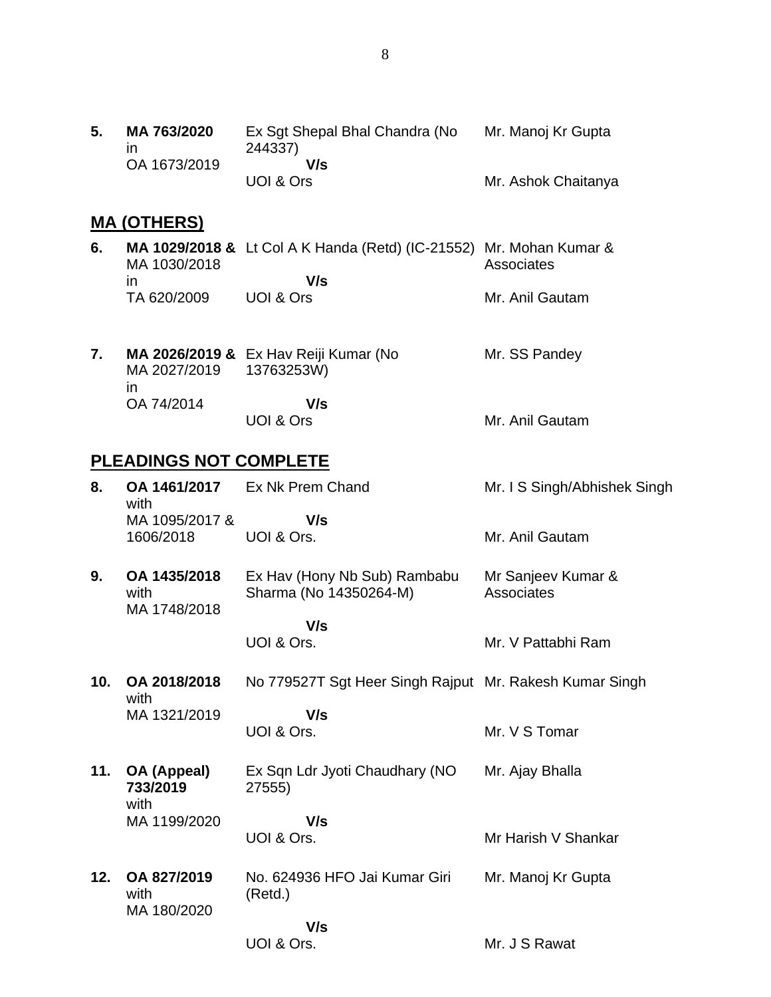| 5. | MA 763/2020  | Ex Sqt Shepal Bhal Chandra (No | Mr. Manoj Kr Gupta  |
|----|--------------|--------------------------------|---------------------|
|    |              | 244337)                        |                     |
|    | OA 1673/2019 | V/s                            |                     |
|    |              | UOI & Ors                      | Mr. Ashok Chaitanya |

# **MA (OTHERS)**

| 6. | MA 1030/2018 | <b>MA 1029/2018 &amp;</b> Lt Col A K Handa (Retd) (IC-21552) Mr. Mohan Kumar & | Associates      |
|----|--------------|--------------------------------------------------------------------------------|-----------------|
|    | ın           | V/s                                                                            |                 |
|    | TA 620/2009  | UOI & Ors                                                                      | Mr. Anil Gautam |

| MA 2027/2019 13763253W)<br>$\mathsf{I}$ | MA 2026/2019 & Ex Hav Reiji Kumar (No | Mr. SS Pandey   |
|-----------------------------------------|---------------------------------------|-----------------|
| OA 74/2014                              | V/s<br>UOI & Ors                      | Mr. Anil Gautam |

# **PLEADINGS NOT COMPLETE**

| 8.              | OA 1461/2017<br>with                 | Ex Nk Prem Chand                                        | Mr. I S Singh/Abhishek Singh     |
|-----------------|--------------------------------------|---------------------------------------------------------|----------------------------------|
|                 | MA 1095/2017 &<br>1606/2018          | V/s<br>UOI & Ors.                                       | Mr. Anil Gautam                  |
| 9.              | OA 1435/2018<br>with<br>MA 1748/2018 | Ex Hav (Hony Nb Sub) Rambabu<br>Sharma (No 14350264-M)  | Mr Sanjeev Kumar &<br>Associates |
|                 |                                      | V/s<br>UOI & Ors.                                       | Mr. V Pattabhi Ram               |
| 10 <sub>1</sub> | OA 2018/2018<br>with                 | No 779527T Sgt Heer Singh Rajput Mr. Rakesh Kumar Singh |                                  |
|                 | MA 1321/2019                         | V/s<br>UOI & Ors.                                       | Mr. V S Tomar                    |
| 11.             | OA (Appeal)<br>733/2019<br>with      | Ex Sqn Ldr Jyoti Chaudhary (NO<br>27555)                | Mr. Ajay Bhalla                  |
|                 | MA 1199/2020                         | V/s                                                     |                                  |
|                 |                                      | UOI & Ors.                                              | Mr Harish V Shankar              |
| 12.             | OA 827/2019<br>with<br>MA 180/2020   | No. 624936 HFO Jai Kumar Giri<br>(Retd.)                | Mr. Manoj Kr Gupta               |
|                 |                                      | V/s                                                     |                                  |
|                 |                                      | UOI & Ors.                                              | Mr. J S Rawat                    |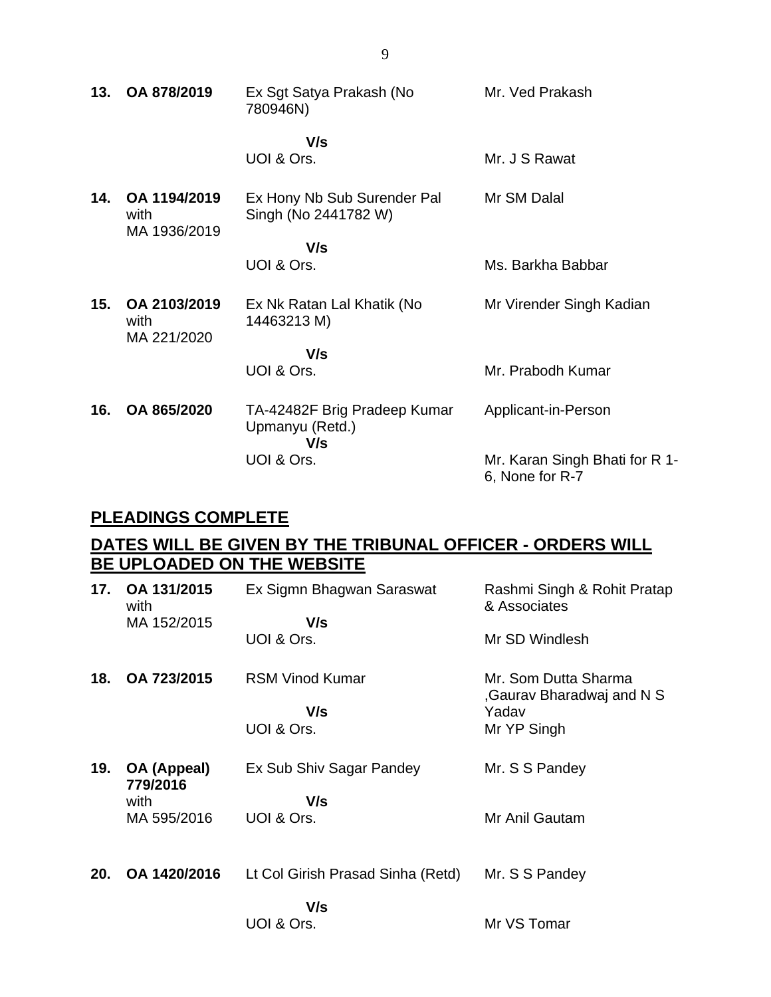| 13. | OA 878/2019                          | Ex Sgt Satya Prakash (No<br>780946N)                   | Mr. Ved Prakash                                   |
|-----|--------------------------------------|--------------------------------------------------------|---------------------------------------------------|
|     |                                      | V/s<br>UOI & Ors.                                      | Mr. J S Rawat                                     |
| 14. | OA 1194/2019<br>with<br>MA 1936/2019 | Ex Hony Nb Sub Surender Pal<br>Singh (No 2441782 W)    | Mr SM Dalal                                       |
|     |                                      | V/s                                                    |                                                   |
|     |                                      | UOI & Ors.                                             | Ms. Barkha Babbar                                 |
| 15. | OA 2103/2019<br>with<br>MA 221/2020  | Ex Nk Ratan Lal Khatik (No<br>14463213 M)              | Mr Virender Singh Kadian                          |
|     |                                      | V/s                                                    |                                                   |
|     |                                      | UOI & Ors.                                             | Mr. Prabodh Kumar                                 |
| 16. | OA 865/2020                          | TA-42482F Brig Pradeep Kumar<br>Upmanyu (Retd.)<br>V/s | Applicant-in-Person                               |
|     |                                      | UOI & Ors.                                             | Mr. Karan Singh Bhati for R 1-<br>6, None for R-7 |

## **PLEADINGS COMPLETE**

# **DATES WILL BE GIVEN BY THE TRIBUNAL OFFICER - ORDERS WILL BE UPLOADED ON THE WEBSITE**

| 17. | OA 131/2015<br>with     | Ex Sigmn Bhagwan Saraswat         | Rashmi Singh & Rohit Pratap<br>& Associates        |
|-----|-------------------------|-----------------------------------|----------------------------------------------------|
|     | MA 152/2015             | V/s                               |                                                    |
|     |                         | UOI & Ors.                        | Mr SD Windlesh                                     |
| 18. | OA 723/2015             | <b>RSM Vinod Kumar</b>            | Mr. Som Dutta Sharma<br>, Gaurav Bharadwaj and N S |
|     |                         | V/s                               | Yadav                                              |
|     |                         | UOI & Ors.                        | Mr YP Singh                                        |
| 19. | OA (Appeal)<br>779/2016 | Ex Sub Shiv Sagar Pandey          | Mr. S S Pandey                                     |
|     | with                    | V/s                               |                                                    |
|     | MA 595/2016             | UOI & Ors.                        | Mr Anil Gautam                                     |
|     |                         |                                   |                                                    |
| 20. | OA 1420/2016            | Lt Col Girish Prasad Sinha (Retd) | Mr. S S Pandey                                     |
|     |                         | V/s                               |                                                    |
|     |                         | UOI & Ors.                        | Mr VS Tomar                                        |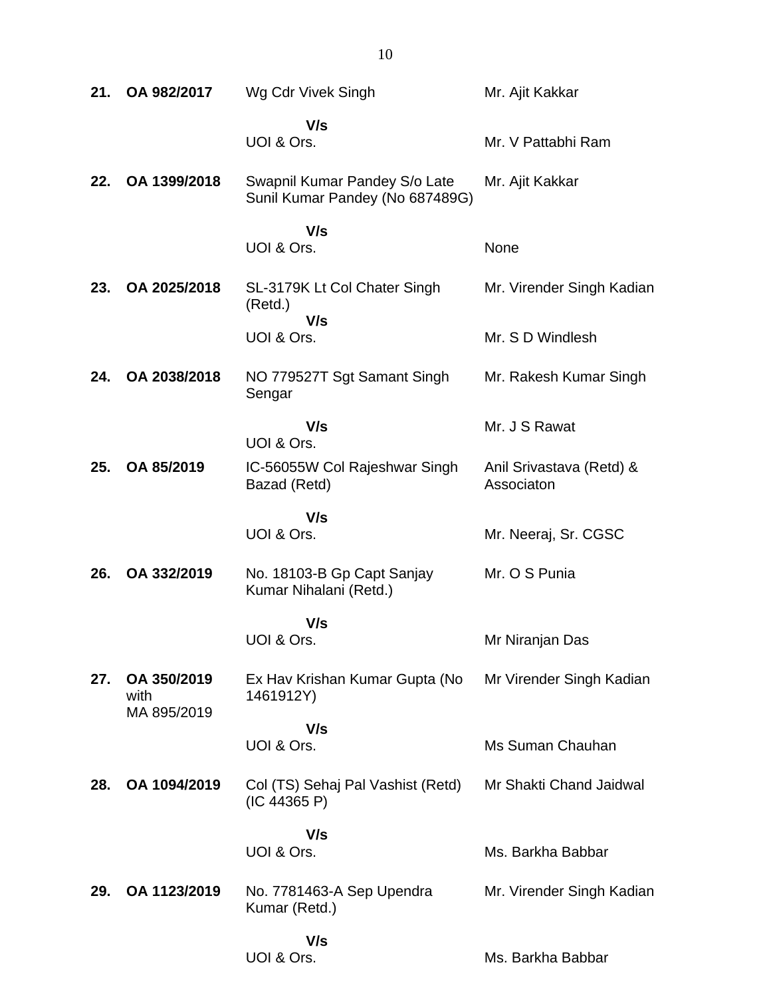| 21. | OA 982/2017                        | Wg Cdr Vivek Singh                                               | Mr. Ajit Kakkar                        |
|-----|------------------------------------|------------------------------------------------------------------|----------------------------------------|
|     |                                    | V/s<br>UOI & Ors.                                                | Mr. V Pattabhi Ram                     |
| 22. | OA 1399/2018                       | Swapnil Kumar Pandey S/o Late<br>Sunil Kumar Pandey (No 687489G) | Mr. Ajit Kakkar                        |
|     |                                    | V/s<br>UOI & Ors.                                                | None                                   |
| 23. | OA 2025/2018                       | SL-3179K Lt Col Chater Singh<br>(Retd.)                          | Mr. Virender Singh Kadian              |
|     |                                    | V/s<br>UOI & Ors.                                                | Mr. S D Windlesh                       |
| 24. | OA 2038/2018                       | NO 779527T Sgt Samant Singh<br>Sengar                            | Mr. Rakesh Kumar Singh                 |
|     |                                    | V/s<br>UOI & Ors.                                                | Mr. J S Rawat                          |
| 25. | OA 85/2019                         | IC-56055W Col Rajeshwar Singh<br>Bazad (Retd)                    | Anil Srivastava (Retd) &<br>Associaton |
|     |                                    | V/s<br>UOI & Ors.                                                | Mr. Neeraj, Sr. CGSC                   |
| 26. | OA 332/2019                        | No. 18103-B Gp Capt Sanjay<br>Kumar Nihalani (Retd.)             | Mr. O S Punia                          |
|     |                                    | V/s<br>UOI & Ors.                                                | Mr Niranjan Das                        |
| 27. | OA 350/2019<br>with<br>MA 895/2019 | Ex Hav Krishan Kumar Gupta (No<br>1461912Y)                      | Mr Virender Singh Kadian               |
|     |                                    | V/s<br>UOI & Ors.                                                | Ms Suman Chauhan                       |
| 28. | OA 1094/2019                       | Col (TS) Sehaj Pal Vashist (Retd)<br>(IC 44365 P)                | Mr Shakti Chand Jaidwal                |
|     |                                    | V/s<br>UOI & Ors.                                                | Ms. Barkha Babbar                      |
| 29. | OA 1123/2019                       | No. 7781463-A Sep Upendra<br>Kumar (Retd.)                       | Mr. Virender Singh Kadian              |
|     |                                    | V/s<br>UOI & Ors.                                                | Ms. Barkha Babbar                      |